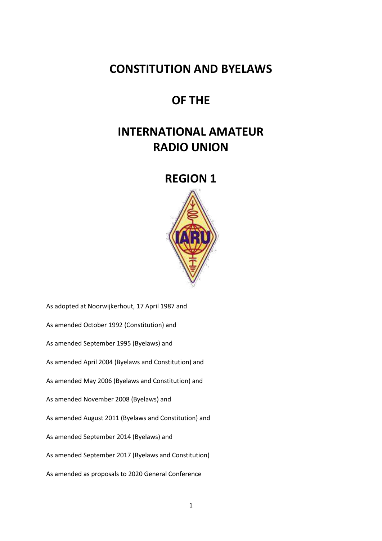# **CONSTITUTION AND BYELAWS**

# **OF THE**

# **INTERNATIONAL AMATEUR RADIO UNION**

# **REGION 1**



As adopted at Noorwijkerhout, 17 April 1987 and As amended October 1992 (Constitution) and As amended September 1995 (Byelaws) and As amended April 2004 (Byelaws and Constitution) and As amended May 2006 (Byelaws and Constitution) and As amended November 2008 (Byelaws) and As amended August 2011 (Byelaws and Constitution) and As amended September 2014 (Byelaws) and As amended September 2017 (Byelaws and Constitution) As amended as proposals to 2020 General Conference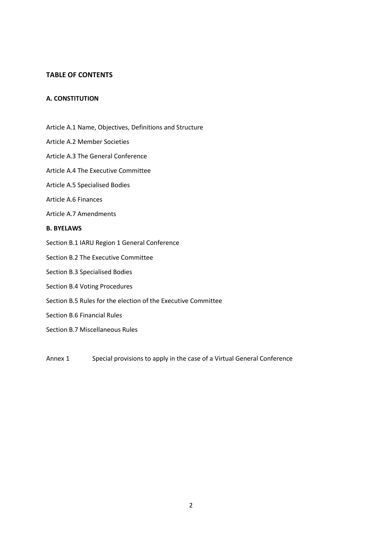# **TABLE OF CONTENTS**

# **A. CONSTITUTION**

- Article A.1 Name, Objectives, Definitions and Structure
- Article A.2 Member Societies
- Article A.3 The General Conference
- Article A.4 The Executive Committee
- Article A.5 Specialised Bodies
- Article A.6 Finances
- Article A.7 Amendments

### **B. BYELAWS**

- Section B.1 IARU Region 1 General Conference
- Section B.2 The Executive Committee
- Section B.3 Specialised Bodies
- Section B.4 Voting Procedures
- Section B.5 Rules for the election of the Executive Committee
- Section B.6 Financial Rules
- Section B.7 Miscellaneous Rules

Annex 1 Special provisions to apply in the case of a Virtual General Conference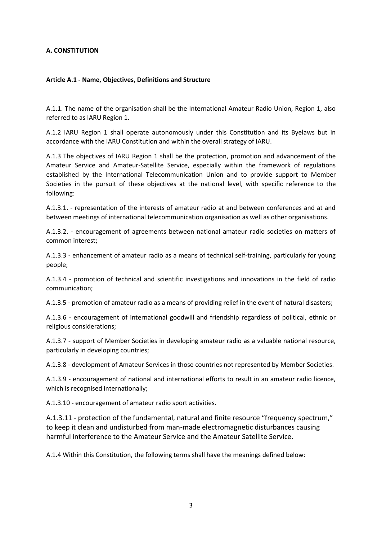# **A. CONSTITUTION**

# **Article A.1 - Name, Objectives, Definitions and Structure**

A.1.1. The name of the organisation shall be the International Amateur Radio Union, Region 1, also referred to as IARU Region 1.

A.1.2 IARU Region 1 shall operate autonomously under this Constitution and its Byelaws but in accordance with the IARU Constitution and within the overall strategy of IARU.

A.1.3 The objectives of IARU Region 1 shall be the protection, promotion and advancement of the Amateur Service and Amateur-Satellite Service, especially within the framework of regulations established by the International Telecommunication Union and to provide support to Member Societies in the pursuit of these objectives at the national level, with specific reference to the following:

A.1.3.1. - representation of the interests of amateur radio at and between conferences and at and between meetings of international telecommunication organisation as well as other organisations.

A.1.3.2. - encouragement of agreements between national amateur radio societies on matters of common interest;

A.1.3.3 - enhancement of amateur radio as a means of technical self-training, particularly for young people;

A.1.3.4 - promotion of technical and scientific investigations and innovations in the field of radio communication;

A.1.3.5 - promotion of amateur radio as a means of providing relief in the event of natural disasters;

A.1.3.6 - encouragement of international goodwill and friendship regardless of political, ethnic or religious considerations;

A.1.3.7 - support of Member Societies in developing amateur radio as a valuable national resource, particularly in developing countries;

A.1.3.8 - development of Amateur Services in those countries not represented by Member Societies.

A.1.3.9 - encouragement of national and international efforts to result in an amateur radio licence, which is recognised internationally;

A.1.3.10 - encouragement of amateur radio sport activities.

A.1.3.11 - protection of the fundamental, natural and finite resource "frequency spectrum," to keep it clean and undisturbed from man-made electromagnetic disturbances causing harmful interference to the Amateur Service and the Amateur Satellite Service.

A.1.4 Within this Constitution, the following terms shall have the meanings defined below: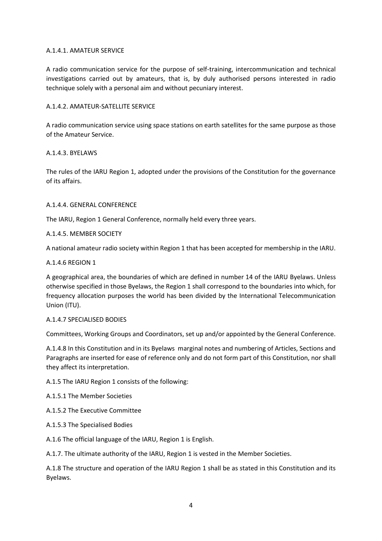# A.1.4.1. AMATEUR SERVICE

A radio communication service for the purpose of self-training, intercommunication and technical investigations carried out by amateurs, that is, by duly authorised persons interested in radio technique solely with a personal aim and without pecuniary interest.

# A.1.4.2. AMATEUR-SATELLITE SERVICE

A radio communication service using space stations on earth satellites for the same purpose as those of the Amateur Service.

### A.1.4.3. BYELAWS

The rules of the IARU Region 1, adopted under the provisions of the Constitution for the governance of its affairs.

### A.1.4.4. GENERAL CONFERENCE

The IARU, Region 1 General Conference, normally held every three years.

### A.1.4.5. MEMBER SOCIETY

A national amateur radio society within Region 1 that has been accepted for membership in the IARU.

### A.1.4.6 REGION 1

A geographical area, the boundaries of which are defined in number 14 of the IARU Byelaws. Unless otherwise specified in those Byelaws, the Region 1 shall correspond to the boundaries into which, for frequency allocation purposes the world has been divided by the International Telecommunication Union (ITU).

### A.1.4.7 SPECIALISED BODIES

Committees, Working Groups and Coordinators, set up and/or appointed by the General Conference.

A.1.4.8 In this Constitution and in its Byelaws marginal notes and numbering of Articles, Sections and Paragraphs are inserted for ease of reference only and do not form part of this Constitution, nor shall they affect its interpretation.

A.1.5 The IARU Region 1 consists of the following:

A.1.5.1 The Member Societies

A.1.5.2 The Executive Committee

A.1.5.3 The Specialised Bodies

A.1.6 The official language of the IARU, Region 1 is English.

A.1.7. The ultimate authority of the IARU, Region 1 is vested in the Member Societies.

A.1.8 The structure and operation of the IARU Region 1 shall be as stated in this Constitution and its Byelaws.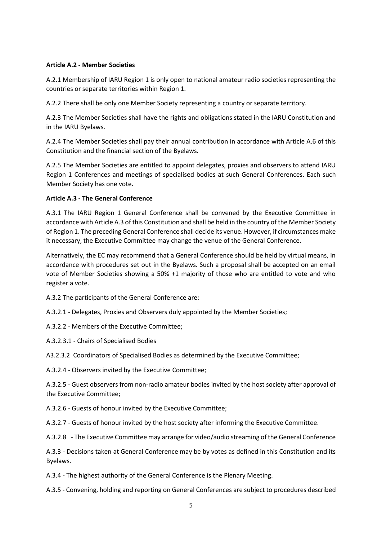# **Article A.2 - Member Societies**

A.2.1 Membership of IARU Region 1 is only open to national amateur radio societies representing the countries or separate territories within Region 1.

A.2.2 There shall be only one Member Society representing a country or separate territory.

A.2.3 The Member Societies shall have the rights and obligations stated in the IARU Constitution and in the IARU Byelaws.

A.2.4 The Member Societies shall pay their annual contribution in accordance with Article A.6 of this Constitution and the financial section of the Byelaws.

A.2.5 The Member Societies are entitled to appoint delegates, proxies and observers to attend IARU Region 1 Conferences and meetings of specialised bodies at such General Conferences. Each such Member Society has one vote.

### **Article A.3 - The General Conference**

A.3.1 The IARU Region 1 General Conference shall be convened by the Executive Committee in accordance with Article A.3 of this Constitution and shall be held in the country of the Member Society of Region 1. The preceding General Conference shall decide its venue. However, if circumstances make it necessary, the Executive Committee may change the venue of the General Conference.

Alternatively, the EC may recommend that a General Conference should be held by virtual means, in accordance with procedures set out in the Byelaws. Such a proposal shall be accepted on an email vote of Member Societies showing a 50% +1 majority of those who are entitled to vote and who register a vote.

A.3.2 The participants of the General Conference are:

A.3.2.1 - Delegates, Proxies and Observers duly appointed by the Member Societies;

A.3.2.2 - Members of the Executive Committee;

A.3.2.3.1 - Chairs of Specialised Bodies

A3.2.3.2 Coordinators of Specialised Bodies as determined by the Executive Committee;

A.3.2.4 - Observers invited by the Executive Committee;

A.3.2.5 - Guest observers from non-radio amateur bodies invited by the host society after approval of the Executive Committee;

A.3.2.6 - Guests of honour invited by the Executive Committee;

A.3.2.7 - Guests of honour invited by the host society after informing the Executive Committee.

A.3.2.8 - The Executive Committee may arrange for video/audio streaming of the General Conference

A.3.3 - Decisions taken at General Conference may be by votes as defined in this Constitution and its Byelaws.

A.3.4 - The highest authority of the General Conference is the Plenary Meeting.

A.3.5 - Convening, holding and reporting on General Conferences are subject to procedures described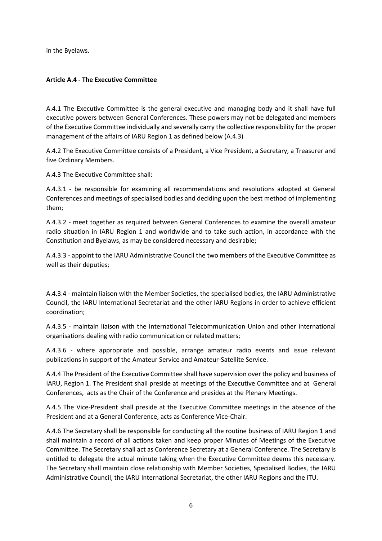in the Byelaws.

# **Article A.4 - The Executive Committee**

A.4.1 The Executive Committee is the general executive and managing body and it shall have full executive powers between General Conferences. These powers may not be delegated and members of the Executive Committee individually and severally carry the collective responsibility for the proper management of the affairs of IARU Region 1 as defined below (A.4.3)

A.4.2 The Executive Committee consists of a President, a Vice President, a Secretary, a Treasurer and five Ordinary Members.

A.4.3 The Executive Committee shall:

A.4.3.1 - be responsible for examining all recommendations and resolutions adopted at General Conferences and meetings of specialised bodies and deciding upon the best method of implementing them;

A.4.3.2 - meet together as required between General Conferences to examine the overall amateur radio situation in IARU Region 1 and worldwide and to take such action, in accordance with the Constitution and Byelaws, as may be considered necessary and desirable;

A.4.3.3 - appoint to the IARU Administrative Council the two members of the Executive Committee as well as their deputies;

A.4.3.4 - maintain liaison with the Member Societies, the specialised bodies, the IARU Administrative Council, the IARU International Secretariat and the other IARU Regions in order to achieve efficient coordination;

A.4.3.5 - maintain liaison with the International Telecommunication Union and other international organisations dealing with radio communication or related matters;

A.4.3.6 - where appropriate and possible, arrange amateur radio events and issue relevant publications in support of the Amateur Service and Amateur-Satellite Service.

A.4.4 The President of the Executive Committee shall have supervision over the policy and business of IARU, Region 1. The President shall preside at meetings of the Executive Committee and at General Conferences, acts as the Chair of the Conference and presides at the Plenary Meetings.

A.4.5 The Vice-President shall preside at the Executive Committee meetings in the absence of the President and at a General Conference, acts as Conference Vice-Chair.

A.4.6 The Secretary shall be responsible for conducting all the routine business of IARU Region 1 and shall maintain a record of all actions taken and keep proper Minutes of Meetings of the Executive Committee. The Secretary shall act as Conference Secretary at a General Conference. The Secretary is entitled to delegate the actual minute taking when the Executive Committee deems this necessary. The Secretary shall maintain close relationship with Member Societies, Specialised Bodies, the IARU Administrative Council, the IARU International Secretariat, the other IARU Regions and the ITU.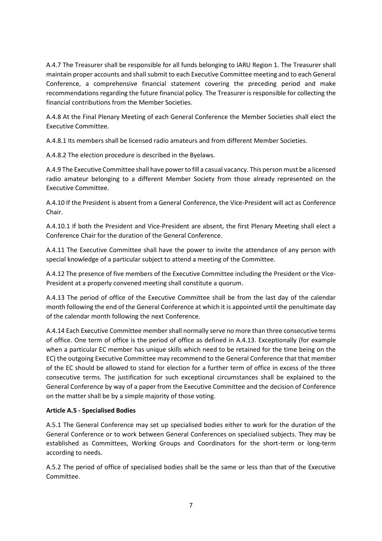A.4.7 The Treasurer shall be responsible for all funds belonging to IARU Region 1. The Treasurer shall maintain proper accounts and shall submit to each Executive Committee meeting and to each General Conference, a comprehensive financial statement covering the preceding period and make recommendations regarding the future financial policy. The Treasurer is responsible for collecting the financial contributions from the Member Societies.

A.4.8 At the Final Plenary Meeting of each General Conference the Member Societies shall elect the Executive Committee.

A.4.8.1 Its members shall be licensed radio amateurs and from different Member Societies.

A.4.8.2 The election procedure is described in the Byelaws.

A.4.9 The Executive Committee shall have power to fill a casual vacancy. This person must be a licensed radio amateur belonging to a different Member Society from those already represented on the Executive Committee.

A.4.10 If the President is absent from a General Conference, the Vice-President will act as Conference Chair.

A.4.10.1 If both the President and Vice-President are absent, the first Plenary Meeting shall elect a Conference Chair for the duration of the General Conference.

A.4.11 The Executive Committee shall have the power to invite the attendance of any person with special knowledge of a particular subject to attend a meeting of the Committee.

A.4.12 The presence of five members of the Executive Committee including the President or the Vice-President at a properly convened meeting shall constitute a quorum.

A.4.13 The period of office of the Executive Committee shall be from the last day of the calendar month following the end of the General Conference at which it is appointed until the penultimate day of the calendar month following the next Conference.

A.4.14 Each Executive Committee member shall normally serve no more than three consecutive terms of office. One term of office is the period of office as defined in A.4.13. Exceptionally (for example when a particular EC member has unique skills which need to be retained for the time being on the EC) the outgoing Executive Committee may recommend to the General Conference that that member of the EC should be allowed to stand for election for a further term of office in excess of the three consecutive terms. The justification for such exceptional circumstances shall be explained to the General Conference by way of a paper from the Executive Committee and the decision of Conference on the matter shall be by a simple majority of those voting.

# **Article A.5 - Specialised Bodies**

A.5.1 The General Conference may set up specialised bodies either to work for the duration of the General Conference or to work between General Conferences on specialised subjects. They may be established as Committees, Working Groups and Coordinators for the short-term or long-term according to needs.

A.5.2 The period of office of specialised bodies shall be the same or less than that of the Executive Committee.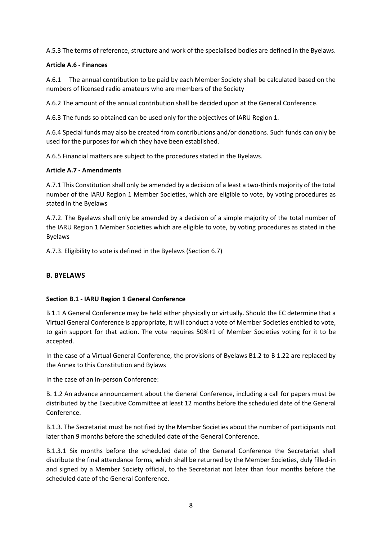A.5.3 The terms of reference, structure and work of the specialised bodies are defined in the Byelaws.

# **Article A.6 - Finances**

A.6.1 The annual contribution to be paid by each Member Society shall be calculated based on the numbers of licensed radio amateurs who are members of the Society

A.6.2 The amount of the annual contribution shall be decided upon at the General Conference.

A.6.3 The funds so obtained can be used only for the objectives of IARU Region 1.

A.6.4 Special funds may also be created from contributions and/or donations. Such funds can only be used for the purposes for which they have been established.

A.6.5 Financial matters are subject to the procedures stated in the Byelaws.

# **Article A.7 - Amendments**

A.7.1 This Constitution shall only be amended by a decision of a least a two-thirds majority of the total number of the IARU Region 1 Member Societies, which are eligible to vote, by voting procedures as stated in the Byelaws

A.7.2. The Byelaws shall only be amended by a decision of a simple majority of the total number of the IARU Region 1 Member Societies which are eligible to vote, by voting procedures as stated in the Byelaws

A.7.3. Eligibility to vote is defined in the Byelaws (Section 6.7)

# **B. BYELAWS**

# **Section B.1 - IARU Region 1 General Conference**

B 1.1 A General Conference may be held either physically or virtually. Should the EC determine that a Virtual General Conference is appropriate, it will conduct a vote of Member Societies entitled to vote, to gain support for that action. The vote requires 50%+1 of Member Societies voting for it to be accepted.

In the case of a Virtual General Conference, the provisions of Byelaws B1.2 to B 1.22 are replaced by the Annex to this Constitution and Bylaws

In the case of an in-person Conference:

B. 1.2 An advance announcement about the General Conference, including a call for papers must be distributed by the Executive Committee at least 12 months before the scheduled date of the General Conference.

B.1.3. The Secretariat must be notified by the Member Societies about the number of participants not later than 9 months before the scheduled date of the General Conference.

B.1.3.1 Six months before the scheduled date of the General Conference the Secretariat shall distribute the final attendance forms, which shall be returned by the Member Societies, duly filled-in and signed by a Member Society official, to the Secretariat not later than four months before the scheduled date of the General Conference.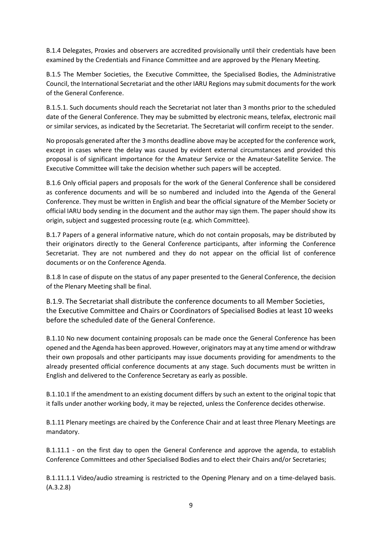B.1.4 Delegates, Proxies and observers are accredited provisionally until their credentials have been examined by the Credentials and Finance Committee and are approved by the Plenary Meeting.

B.1.5 The Member Societies, the Executive Committee, the Specialised Bodies, the Administrative Council, the International Secretariat and the other IARU Regions may submit documents for the work of the General Conference.

B.1.5.1. Such documents should reach the Secretariat not later than 3 months prior to the scheduled date of the General Conference. They may be submitted by electronic means, telefax, electronic mail or similar services, as indicated by the Secretariat. The Secretariat will confirm receipt to the sender.

No proposals generated after the 3 months deadline above may be accepted for the conference work, except in cases where the delay was caused by evident external circumstances and provided this proposal is of significant importance for the Amateur Service or the Amateur-Satellite Service. The Executive Committee will take the decision whether such papers will be accepted.

B.1.6 Only official papers and proposals for the work of the General Conference shall be considered as conference documents and will be so numbered and included into the Agenda of the General Conference. They must be written in English and bear the official signature of the Member Society or official IARU body sending in the document and the author may sign them. The paper should show its origin, subject and suggested processing route (e.g. which Committee).

B.1.7 Papers of a general informative nature, which do not contain proposals, may be distributed by their originators directly to the General Conference participants, after informing the Conference Secretariat. They are not numbered and they do not appear on the official list of conference documents or on the Conference Agenda.

B.1.8 In case of dispute on the status of any paper presented to the General Conference, the decision of the Plenary Meeting shall be final.

B.1.9. The Secretariat shall distribute the conference documents to all Member Societies, the Executive Committee and Chairs or Coordinators of Specialised Bodies at least 10 weeks before the scheduled date of the General Conference.

B.1.10 No new document containing proposals can be made once the General Conference has been opened and the Agenda has been approved. However, originators may at any time amend or withdraw their own proposals and other participants may issue documents providing for amendments to the already presented official conference documents at any stage. Such documents must be written in English and delivered to the Conference Secretary as early as possible.

B.1.10.1 If the amendment to an existing document differs by such an extent to the original topic that it falls under another working body, it may be rejected, unless the Conference decides otherwise.

B.1.11 Plenary meetings are chaired by the Conference Chair and at least three Plenary Meetings are mandatory.

B.1.11.1 - on the first day to open the General Conference and approve the agenda, to establish Conference Committees and other Specialised Bodies and to elect their Chairs and/or Secretaries;

B.1.11.1.1 Video/audio streaming is restricted to the Opening Plenary and on a time-delayed basis. (A.3.2.8)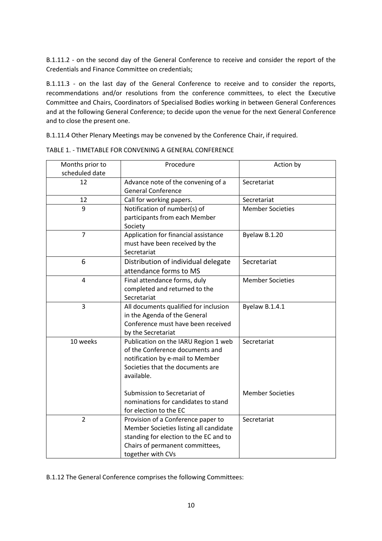B.1.11.2 - on the second day of the General Conference to receive and consider the report of the Credentials and Finance Committee on credentials;

B.1.11.3 - on the last day of the General Conference to receive and to consider the reports, recommendations and/or resolutions from the conference committees, to elect the Executive Committee and Chairs, Coordinators of Specialised Bodies working in between General Conferences and at the following General Conference; to decide upon the venue for the next General Conference and to close the present one.

B.1.11.4 Other Plenary Meetings may be convened by the Conference Chair, if required.

| Months prior to | Procedure                              | Action by               |
|-----------------|----------------------------------------|-------------------------|
| scheduled date  |                                        |                         |
| 12              | Advance note of the convening of a     | Secretariat             |
|                 | <b>General Conference</b>              |                         |
| 12              | Call for working papers.               | Secretariat             |
| 9               | Notification of number(s) of           | <b>Member Societies</b> |
|                 | participants from each Member          |                         |
|                 | Society                                |                         |
| $\overline{7}$  | Application for financial assistance   | Byelaw B.1.20           |
|                 | must have been received by the         |                         |
|                 | Secretariat                            |                         |
| 6               | Distribution of individual delegate    | Secretariat             |
|                 | attendance forms to MS                 |                         |
| $\overline{4}$  | Final attendance forms, duly           | <b>Member Societies</b> |
|                 | completed and returned to the          |                         |
|                 | Secretariat                            |                         |
| 3               | All documents qualified for inclusion  | Byelaw B.1.4.1          |
|                 | in the Agenda of the General           |                         |
|                 | Conference must have been received     |                         |
|                 | by the Secretariat                     |                         |
| 10 weeks        | Publication on the IARU Region 1 web   | Secretariat             |
|                 | of the Conference documents and        |                         |
|                 | notification by e-mail to Member       |                         |
|                 | Societies that the documents are       |                         |
|                 | available.                             |                         |
|                 |                                        |                         |
|                 | Submission to Secretariat of           | <b>Member Societies</b> |
|                 | nominations for candidates to stand    |                         |
|                 | for election to the EC                 |                         |
| $\overline{2}$  | Provision of a Conference paper to     | Secretariat             |
|                 | Member Societies listing all candidate |                         |
|                 | standing for election to the EC and to |                         |
|                 | Chairs of permanent committees,        |                         |
|                 | together with CVs                      |                         |

TABLE 1. - TIMETABLE FOR CONVENING A GENERAL CONFERENCE

B.1.12 The General Conference comprises the following Committees: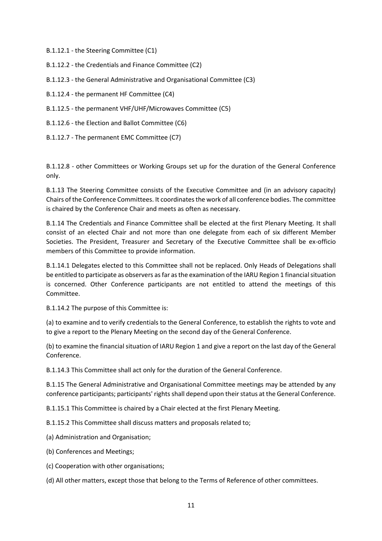B.1.12.1 - the Steering Committee (C1)

B.1.12.2 - the Credentials and Finance Committee (C2)

B.1.12.3 - the General Administrative and Organisational Committee (C3)

B.1.12.4 - the permanent HF Committee (C4)

B.1.12.5 - the permanent VHF/UHF/Microwaves Committee (C5)

B.1.12.6 - the Election and Ballot Committee (C6)

B.1.12.7 - The permanent EMC Committee (C7)

B.1.12.8 - other Committees or Working Groups set up for the duration of the General Conference only.

B.1.13 The Steering Committee consists of the Executive Committee and (in an advisory capacity) Chairs of the Conference Committees. It coordinates the work of all conference bodies. The committee is chaired by the Conference Chair and meets as often as necessary.

B.1.14 The Credentials and Finance Committee shall be elected at the first Plenary Meeting. It shall consist of an elected Chair and not more than one delegate from each of six different Member Societies. The President, Treasurer and Secretary of the Executive Committee shall be ex-officio members of this Committee to provide information.

B.1.14.1 Delegates elected to this Committee shall not be replaced. Only Heads of Delegations shall be entitled to participate as observers as far as the examination of the IARU Region 1 financial situation is concerned. Other Conference participants are not entitled to attend the meetings of this Committee.

B.1.14.2 The purpose of this Committee is:

(a) to examine and to verify credentials to the General Conference, to establish the rights to vote and to give a report to the Plenary Meeting on the second day of the General Conference.

(b) to examine the financial situation of IARU Region 1 and give a report on the last day of the General Conference.

B.1.14.3 This Committee shall act only for the duration of the General Conference.

B.1.15 The General Administrative and Organisational Committee meetings may be attended by any conference participants; participants' rights shall depend upon their status at the General Conference.

B.1.15.1 This Committee is chaired by a Chair elected at the first Plenary Meeting.

B.1.15.2 This Committee shall discuss matters and proposals related to;

(a) Administration and Organisation;

(b) Conferences and Meetings;

(c) Cooperation with other organisations;

(d) All other matters, except those that belong to the Terms of Reference of other committees.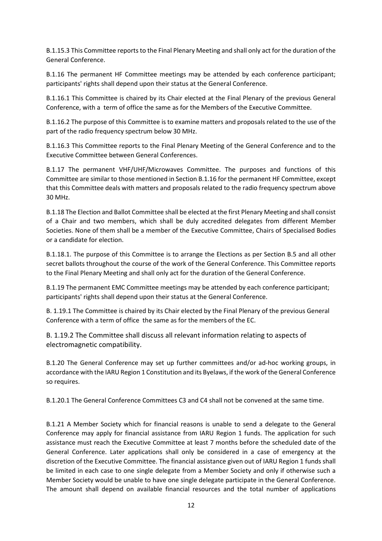B.1.15.3 This Committee reports to the Final Plenary Meeting and shall only act for the duration of the General Conference.

B.1.16 The permanent HF Committee meetings may be attended by each conference participant; participants' rights shall depend upon their status at the General Conference.

B.1.16.1 This Committee is chaired by its Chair elected at the Final Plenary of the previous General Conference, with a term of office the same as for the Members of the Executive Committee.

B.1.16.2 The purpose of this Committee is to examine matters and proposals related to the use of the part of the radio frequency spectrum below 30 MHz.

B.1.16.3 This Committee reports to the Final Plenary Meeting of the General Conference and to the Executive Committee between General Conferences.

B.1.17 The permanent VHF/UHF/Microwaves Committee. The purposes and functions of this Committee are similar to those mentioned in Section B.1.16 for the permanent HF Committee, except that this Committee deals with matters and proposals related to the radio frequency spectrum above 30 MHz.

B.1.18 The Election and Ballot Committee shall be elected at the first Plenary Meeting and shall consist of a Chair and two members, which shall be duly accredited delegates from different Member Societies. None of them shall be a member of the Executive Committee, Chairs of Specialised Bodies or a candidate for election.

B.1.18.1. The purpose of this Committee is to arrange the Elections as per Section B.5 and all other secret ballots throughout the course of the work of the General Conference. This Committee reports to the Final Plenary Meeting and shall only act for the duration of the General Conference.

B.1.19 The permanent EMC Committee meetings may be attended by each conference participant; participants' rights shall depend upon their status at the General Conference.

B. 1.19.1 The Committee is chaired by its Chair elected by the Final Plenary of the previous General Conference with a term of office the same as for the members of the EC.

B. 1.19.2 The Committee shall discuss all relevant information relating to aspects of electromagnetic compatibility.

B.1.20 The General Conference may set up further committees and/or ad-hoc working groups, in accordance with the IARU Region 1 Constitution and its Byelaws, if the work of the General Conference so requires.

B.1.20.1 The General Conference Committees C3 and C4 shall not be convened at the same time.

B.1.21 A Member Society which for financial reasons is unable to send a delegate to the General Conference may apply for financial assistance from IARU Region 1 funds. The application for such assistance must reach the Executive Committee at least 7 months before the scheduled date of the General Conference. Later applications shall only be considered in a case of emergency at the discretion of the Executive Committee. The financial assistance given out of IARU Region 1 funds shall be limited in each case to one single delegate from a Member Society and only if otherwise such a Member Society would be unable to have one single delegate participate in the General Conference. The amount shall depend on available financial resources and the total number of applications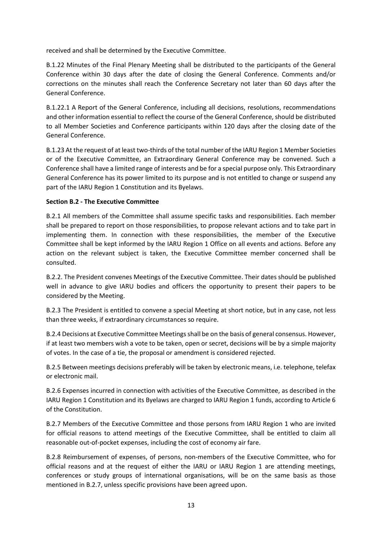received and shall be determined by the Executive Committee.

B.1.22 Minutes of the Final Plenary Meeting shall be distributed to the participants of the General Conference within 30 days after the date of closing the General Conference. Comments and/or corrections on the minutes shall reach the Conference Secretary not later than 60 days after the General Conference.

B.1.22.1 A Report of the General Conference, including all decisions, resolutions, recommendations and other information essential to reflect the course of the General Conference, should be distributed to all Member Societies and Conference participants within 120 days after the closing date of the General Conference.

B.1.23 At the request of at least two-thirds of the total number of the IARU Region 1 Member Societies or of the Executive Committee, an Extraordinary General Conference may be convened. Such a Conference shall have a limited range of interests and be for a special purpose only. This Extraordinary General Conference has its power limited to its purpose and is not entitled to change or suspend any part of the IARU Region 1 Constitution and its Byelaws.

# **Section B.2 - The Executive Committee**

B.2.1 All members of the Committee shall assume specific tasks and responsibilities. Each member shall be prepared to report on those responsibilities, to propose relevant actions and to take part in implementing them. In connection with these responsibilities, the member of the Executive Committee shall be kept informed by the IARU Region 1 Office on all events and actions. Before any action on the relevant subject is taken, the Executive Committee member concerned shall be consulted.

B.2.2. The President convenes Meetings of the Executive Committee. Their dates should be published well in advance to give IARU bodies and officers the opportunity to present their papers to be considered by the Meeting.

B.2.3 The President is entitled to convene a special Meeting at short notice, but in any case, not less than three weeks, if extraordinary circumstances so require.

B.2.4 Decisions at Executive Committee Meetings shall be on the basis of general consensus. However, if at least two members wish a vote to be taken, open or secret, decisions will be by a simple majority of votes. In the case of a tie, the proposal or amendment is considered rejected.

B.2.5 Between meetings decisions preferably will be taken by electronic means, i.e. telephone, telefax or electronic mail.

B.2.6 Expenses incurred in connection with activities of the Executive Committee, as described in the IARU Region 1 Constitution and its Byelaws are charged to IARU Region 1 funds, according to Article 6 of the Constitution.

B.2.7 Members of the Executive Committee and those persons from IARU Region 1 who are invited for official reasons to attend meetings of the Executive Committee, shall be entitled to claim all reasonable out-of-pocket expenses, including the cost of economy air fare.

B.2.8 Reimbursement of expenses, of persons, non-members of the Executive Committee, who for official reasons and at the request of either the IARU or IARU Region 1 are attending meetings, conferences or study groups of international organisations, will be on the same basis as those mentioned in B.2.7, unless specific provisions have been agreed upon.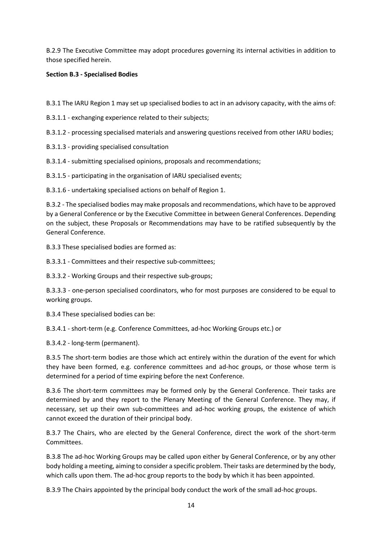B.2.9 The Executive Committee may adopt procedures governing its internal activities in addition to those specified herein.

# **Section B.3 - Specialised Bodies**

B.3.1 The IARU Region 1 may set up specialised bodies to act in an advisory capacity, with the aims of:

- B.3.1.1 exchanging experience related to their subjects;
- B.3.1.2 processing specialised materials and answering questions received from other IARU bodies;
- B.3.1.3 providing specialised consultation
- B.3.1.4 submitting specialised opinions, proposals and recommendations;
- B.3.1.5 participating in the organisation of IARU specialised events;

B.3.1.6 - undertaking specialised actions on behalf of Region 1.

B.3.2 - The specialised bodies may make proposals and recommendations, which have to be approved by a General Conference or by the Executive Committee in between General Conferences. Depending on the subject, these Proposals or Recommendations may have to be ratified subsequently by the General Conference.

B.3.3 These specialised bodies are formed as:

B.3.3.1 - Committees and their respective sub-committees;

B.3.3.2 - Working Groups and their respective sub-groups;

B.3.3.3 - one-person specialised coordinators, who for most purposes are considered to be equal to working groups.

B.3.4 These specialised bodies can be:

B.3.4.1 - short-term (e.g. Conference Committees, ad-hoc Working Groups etc.) or

B.3.4.2 - long-term (permanent).

B.3.5 The short-term bodies are those which act entirely within the duration of the event for which they have been formed, e.g. conference committees and ad-hoc groups, or those whose term is determined for a period of time expiring before the next Conference.

B.3.6 The short-term committees may be formed only by the General Conference. Their tasks are determined by and they report to the Plenary Meeting of the General Conference. They may, if necessary, set up their own sub-committees and ad-hoc working groups, the existence of which cannot exceed the duration of their principal body.

B.3.7 The Chairs, who are elected by the General Conference, direct the work of the short-term Committees.

B.3.8 The ad-hoc Working Groups may be called upon either by General Conference, or by any other body holding a meeting, aiming to consider a specific problem. Their tasks are determined by the body, which calls upon them. The ad-hoc group reports to the body by which it has been appointed.

B.3.9 The Chairs appointed by the principal body conduct the work of the small ad-hoc groups.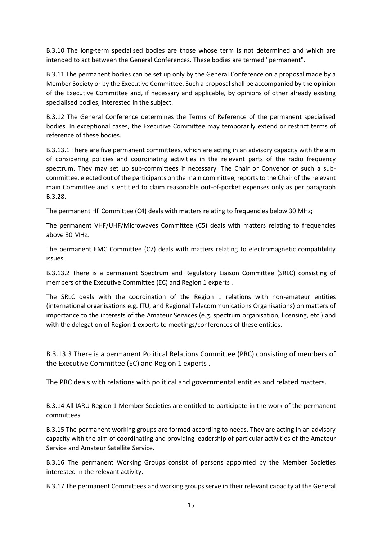B.3.10 The long-term specialised bodies are those whose term is not determined and which are intended to act between the General Conferences. These bodies are termed "permanent".

B.3.11 The permanent bodies can be set up only by the General Conference on a proposal made by a Member Society or by the Executive Committee. Such a proposal shall be accompanied by the opinion of the Executive Committee and, if necessary and applicable, by opinions of other already existing specialised bodies, interested in the subject.

B.3.12 The General Conference determines the Terms of Reference of the permanent specialised bodies. In exceptional cases, the Executive Committee may temporarily extend or restrict terms of reference of these bodies.

B.3.13.1 There are five permanent committees, which are acting in an advisory capacity with the aim of considering policies and coordinating activities in the relevant parts of the radio frequency spectrum. They may set up sub-committees if necessary. The Chair or Convenor of such a subcommittee, elected out of the participants on the main committee, reports to the Chair of the relevant main Committee and is entitled to claim reasonable out-of-pocket expenses only as per paragraph B.3.28.

The permanent HF Committee (C4) deals with matters relating to frequencies below 30 MHz;

The permanent VHF/UHF/Microwaves Committee (C5) deals with matters relating to frequencies above 30 MHz.

The permanent EMC Committee (C7) deals with matters relating to electromagnetic compatibility issues.

B.3.13.2 There is a permanent Spectrum and Regulatory Liaison Committee (SRLC) consisting of members of the Executive Committee (EC) and Region 1 experts .

The SRLC deals with the coordination of the Region 1 relations with non-amateur entities (international organisations e.g. ITU, and Regional Telecommunications Organisations) on matters of importance to the interests of the Amateur Services (e.g. spectrum organisation, licensing, etc.) and with the delegation of Region 1 experts to meetings/conferences of these entities.

B.3.13.3 There is a permanent Political Relations Committee (PRC) consisting of members of the Executive Committee (EC) and Region 1 experts .

The PRC deals with relations with political and governmental entities and related matters.

B.3.14 All IARU Region 1 Member Societies are entitled to participate in the work of the permanent committees.

B.3.15 The permanent working groups are formed according to needs. They are acting in an advisory capacity with the aim of coordinating and providing leadership of particular activities of the Amateur Service and Amateur Satellite Service.

B.3.16 The permanent Working Groups consist of persons appointed by the Member Societies interested in the relevant activity.

B.3.17 The permanent Committees and working groups serve in their relevant capacity at the General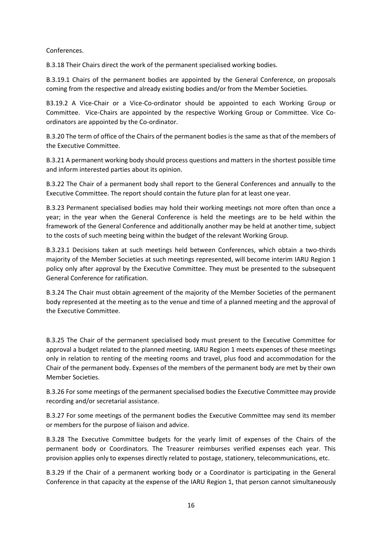Conferences.

B.3.18 Their Chairs direct the work of the permanent specialised working bodies.

B.3.19.1 Chairs of the permanent bodies are appointed by the General Conference, on proposals coming from the respective and already existing bodies and/or from the Member Societies.

B3.19.2 A Vice-Chair or a Vice-Co-ordinator should be appointed to each Working Group or Committee. Vice-Chairs are appointed by the respective Working Group or Committee. Vice Coordinators are appointed by the Co-ordinator.

B.3.20 The term of office of the Chairs of the permanent bodies is the same as that of the members of the Executive Committee.

B.3.21 A permanent working body should process questions and matters in the shortest possible time and inform interested parties about its opinion.

B.3.22 The Chair of a permanent body shall report to the General Conferences and annually to the Executive Committee. The report should contain the future plan for at least one year.

B.3.23 Permanent specialised bodies may hold their working meetings not more often than once a year; in the year when the General Conference is held the meetings are to be held within the framework of the General Conference and additionally another may be held at another time, subject to the costs of such meeting being within the budget of the relevant Working Group.

B.3.23.1 Decisions taken at such meetings held between Conferences, which obtain a two-thirds majority of the Member Societies at such meetings represented, will become interim IARU Region 1 policy only after approval by the Executive Committee. They must be presented to the subsequent General Conference for ratification.

B.3.24 The Chair must obtain agreement of the majority of the Member Societies of the permanent body represented at the meeting as to the venue and time of a planned meeting and the approval of the Executive Committee.

B.3.25 The Chair of the permanent specialised body must present to the Executive Committee for approval a budget related to the planned meeting. IARU Region 1 meets expenses of these meetings only in relation to renting of the meeting rooms and travel, plus food and accommodation for the Chair of the permanent body. Expenses of the members of the permanent body are met by their own Member Societies.

B.3.26 For some meetings of the permanent specialised bodies the Executive Committee may provide recording and/or secretarial assistance.

B.3.27 For some meetings of the permanent bodies the Executive Committee may send its member or members for the purpose of liaison and advice.

B.3.28 The Executive Committee budgets for the yearly limit of expenses of the Chairs of the permanent body or Coordinators. The Treasurer reimburses verified expenses each year. This provision applies only to expenses directly related to postage, stationery, telecommunications, etc.

B.3.29 If the Chair of a permanent working body or a Coordinator is participating in the General Conference in that capacity at the expense of the IARU Region 1, that person cannot simultaneously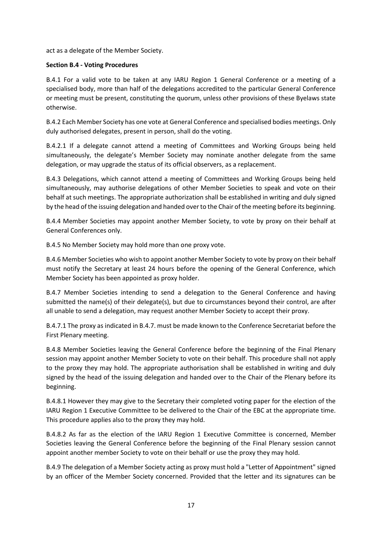act as a delegate of the Member Society.

# **Section B.4 - Voting Procedures**

B.4.1 For a valid vote to be taken at any IARU Region 1 General Conference or a meeting of a specialised body, more than half of the delegations accredited to the particular General Conference or meeting must be present, constituting the quorum, unless other provisions of these Byelaws state otherwise.

B.4.2 Each Member Society has one vote at General Conference and specialised bodies meetings. Only duly authorised delegates, present in person, shall do the voting.

B.4.2.1 If a delegate cannot attend a meeting of Committees and Working Groups being held simultaneously, the delegate's Member Society may nominate another delegate from the same delegation, or may upgrade the status of its official observers, as a replacement.

B.4.3 Delegations, which cannot attend a meeting of Committees and Working Groups being held simultaneously, may authorise delegations of other Member Societies to speak and vote on their behalf at such meetings. The appropriate authorization shall be established in writing and duly signed by the head of the issuing delegation and handed over to the Chair of the meeting before its beginning.

B.4.4 Member Societies may appoint another Member Society, to vote by proxy on their behalf at General Conferences only.

B.4.5 No Member Society may hold more than one proxy vote.

B.4.6 Member Societies who wish to appoint another Member Society to vote by proxy on their behalf must notify the Secretary at least 24 hours before the opening of the General Conference, which Member Society has been appointed as proxy holder.

B.4.7 Member Societies intending to send a delegation to the General Conference and having submitted the name(s) of their delegate(s), but due to circumstances beyond their control, are after all unable to send a delegation, may request another Member Society to accept their proxy.

B.4.7.1 The proxy as indicated in B.4.7. must be made known to the Conference Secretariat before the First Plenary meeting.

B.4.8 Member Societies leaving the General Conference before the beginning of the Final Plenary session may appoint another Member Society to vote on their behalf. This procedure shall not apply to the proxy they may hold. The appropriate authorisation shall be established in writing and duly signed by the head of the issuing delegation and handed over to the Chair of the Plenary before its beginning.

B.4.8.1 However they may give to the Secretary their completed voting paper for the election of the IARU Region 1 Executive Committee to be delivered to the Chair of the EBC at the appropriate time. This procedure applies also to the proxy they may hold.

B.4.8.2 As far as the election of the IARU Region 1 Executive Committee is concerned, Member Societies leaving the General Conference before the beginning of the Final Plenary session cannot appoint another member Society to vote on their behalf or use the proxy they may hold.

B.4.9 The delegation of a Member Society acting as proxy must hold a "Letter of Appointment" signed by an officer of the Member Society concerned. Provided that the letter and its signatures can be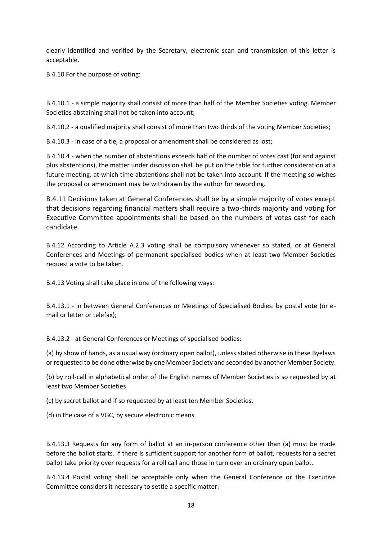clearly identified and verified by the Secretary, electronic scan and transmission of this letter is acceptable.

B.4.10 For the purpose of voting:

B.4.10.1 - a simple majority shall consist of more than half of the Member Societies voting. Member Societies abstaining shall not be taken into account;

B.4.10.2 - a qualified majority shall consist of more than two thirds of the voting Member Societies;

B.4.10.3 - in case of a tie, a proposal or amendment shall be considered as lost;

B.4.10.4 - when the number of abstentions exceeds half of the number of votes cast (for and against plus abstentions), the matter under discussion shall be put on the table for further consideration at a future meeting, at which time abstentions shall not be taken into account. If the meeting so wishes the proposal or amendment may be withdrawn by the author for rewording.

B.4.11 Decisions taken at General Conferences shall be by a simple majority of votes except that decisions regarding financial matters shall require a two-thirds majority and voting for Executive Committee appointments shall be based on the numbers of votes cast for each candidate.

B.4.12 According to Article A.2.3 voting shall be compulsory whenever so stated, or at General Conferences and Meetings of permanent specialised bodies when at least two Member Societies request a vote to be taken.

B.4.13 Voting shall take place in one of the following ways:

B.4.13.1 - in between General Conferences or Meetings of Specialised Bodies: by postal vote (or email or letter or telefax);

B.4.13.2 - at General Conferences or Meetings of specialised bodies:

(a) by show of hands, as a usual way (ordinary open ballot), unless stated otherwise in these Byelaws or requested to be done otherwise by one Member Society and seconded by another Member Society.

(b) by roll-call in alphabetical order of the English names of Member Societies is so requested by at least two Member Societies

(c) by secret ballot and if so requested by at least ten Member Societies.

(d) in the case of a VGC, by secure electronic means

B.4.13.3 Requests for any form of ballot at an in-person conference other than (a) must be made before the ballot starts. If there is sufficient support for another form of ballot, requests for a secret ballot take priority over requests for a roll call and those in turn over an ordinary open ballot.

B.4.13.4 Postal voting shall be acceptable only when the General Conference or the Executive Committee considers it necessary to settle a specific matter.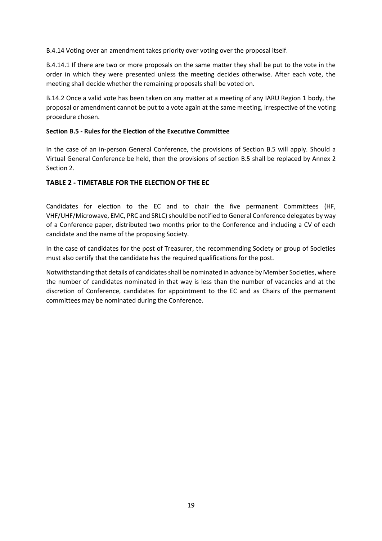B.4.14 Voting over an amendment takes priority over voting over the proposal itself.

B.4.14.1 If there are two or more proposals on the same matter they shall be put to the vote in the order in which they were presented unless the meeting decides otherwise. After each vote, the meeting shall decide whether the remaining proposals shall be voted on.

B.14.2 Once a valid vote has been taken on any matter at a meeting of any IARU Region 1 body, the proposal or amendment cannot be put to a vote again at the same meeting, irrespective of the voting procedure chosen.

# **Section B.5 - Rules for the Election of the Executive Committee**

In the case of an in-person General Conference, the provisions of Section B.5 will apply. Should a Virtual General Conference be held, then the provisions of section B.5 shall be replaced by Annex 2 Section 2.

# **TABLE 2 - TIMETABLE FOR THE ELECTION OF THE EC**

Candidates for election to the EC and to chair the five permanent Committees (HF, VHF/UHF/Microwave, EMC, PRC and SRLC) should be notified to General Conference delegates by way of a Conference paper, distributed two months prior to the Conference and including a CV of each candidate and the name of the proposing Society.

In the case of candidates for the post of Treasurer, the recommending Society or group of Societies must also certify that the candidate has the required qualifications for the post.

Notwithstanding that details of candidates shall be nominated in advance by Member Societies, where the number of candidates nominated in that way is less than the number of vacancies and at the discretion of Conference, candidates for appointment to the EC and as Chairs of the permanent committees may be nominated during the Conference.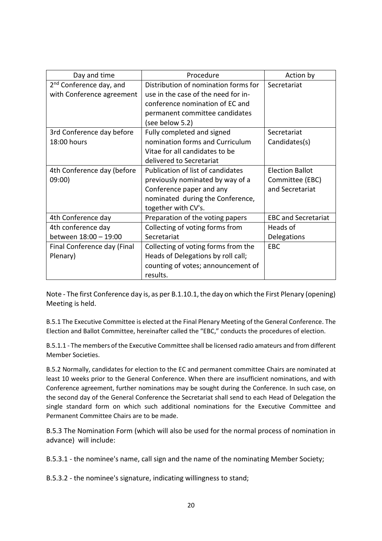| Day and time                        | Procedure                            | Action by                  |
|-------------------------------------|--------------------------------------|----------------------------|
| 2 <sup>nd</sup> Conference day, and | Distribution of nomination forms for | Secretariat                |
| with Conference agreement           | use in the case of the need for in-  |                            |
|                                     | conference nomination of EC and      |                            |
|                                     | permanent committee candidates       |                            |
|                                     | (see below 5.2)                      |                            |
| 3rd Conference day before           | Fully completed and signed           | Secretariat                |
| 18:00 hours                         | nomination forms and Curriculum      | Candidates(s)              |
|                                     | Vitae for all candidates to be       |                            |
|                                     | delivered to Secretariat             |                            |
| 4th Conference day (before          | Publication of list of candidates    | <b>Election Ballot</b>     |
| 09:00)                              | previously nominated by way of a     | Committee (EBC)            |
|                                     | Conference paper and any             | and Secretariat            |
|                                     | nominated during the Conference,     |                            |
|                                     | together with CV's.                  |                            |
| 4th Conference day                  | Preparation of the voting papers     | <b>EBC and Secretariat</b> |
| 4th conference day                  | Collecting of voting forms from      | Heads of                   |
| between 18:00 - 19:00               | Secretariat                          | Delegations                |
| Final Conference day (Final         | Collecting of voting forms from the  | <b>EBC</b>                 |
| Plenary)                            | Heads of Delegations by roll call;   |                            |
|                                     | counting of votes; announcement of   |                            |
|                                     | results.                             |                            |

Note - The first Conference day is, as per B.1.10.1, the day on which the First Plenary (opening) Meeting is held.

B.5.1 The Executive Committee is elected at the Final Plenary Meeting of the General Conference. The Election and Ballot Committee, hereinafter called the "EBC," conducts the procedures of election.

B.5.1.1 - The members of the Executive Committee shall be licensed radio amateurs and from different Member Societies.

B.5.2 Normally, candidates for election to the EC and permanent committee Chairs are nominated at least 10 weeks prior to the General Conference. When there are insufficient nominations, and with Conference agreement, further nominations may be sought during the Conference. In such case, on the second day of the General Conference the Secretariat shall send to each Head of Delegation the single standard form on which such additional nominations for the Executive Committee and Permanent Committee Chairs are to be made.

B.5.3 The Nomination Form (which will also be used for the normal process of nomination in advance) will include:

B.5.3.1 - the nominee's name, call sign and the name of the nominating Member Society;

B.5.3.2 - the nominee's signature, indicating willingness to stand;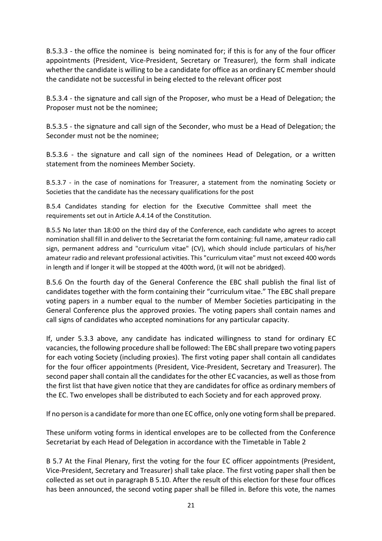B.5.3.3 - the office the nominee is being nominated for; if this is for any of the four officer appointments (President, Vice-President, Secretary or Treasurer), the form shall indicate whether the candidate is willing to be a candidate for office as an ordinary EC member should the candidate not be successful in being elected to the relevant officer post

B.5.3.4 - the signature and call sign of the Proposer, who must be a Head of Delegation; the Proposer must not be the nominee;

B.5.3.5 - the signature and call sign of the Seconder, who must be a Head of Delegation; the Seconder must not be the nominee;

B.5.3.6 - the signature and call sign of the nominees Head of Delegation, or a written statement from the nominees Member Society.

B.5.3.7 - in the case of nominations for Treasurer, a statement from the nominating Society or Societies that the candidate has the necessary qualifications for the post

B.5.4 Candidates standing for election for the Executive Committee shall meet the requirements set out in Article A.4.14 of the Constitution.

B.5.5 No later than 18:00 on the third day of the Conference, each candidate who agrees to accept nomination shall fill in and deliver to the Secretariat the form containing: full name, amateur radio call sign, permanent address and "curriculum vitae" (CV), which should include particulars of his/her amateur radio and relevant professional activities. This "curriculum vitae" must not exceed 400 words in length and if longer it will be stopped at the 400th word, (it will not be abridged).

B.5.6 On the fourth day of the General Conference the EBC shall publish the final list of candidates together with the form containing their "curriculum vitae." The EBC shall prepare voting papers in a number equal to the number of Member Societies participating in the General Conference plus the approved proxies. The voting papers shall contain names and call signs of candidates who accepted nominations for any particular capacity.

If, under 5.3.3 above, any candidate has indicated willingness to stand for ordinary EC vacancies, the following procedure shall be followed: The EBC shall prepare two voting papers for each voting Society (including proxies). The first voting paper shall contain all candidates for the four officer appointments (President, Vice-President, Secretary and Treasurer). The second paper shall contain all the candidates for the other EC vacancies, as well as those from the first list that have given notice that they are candidates for office as ordinary members of the EC. Two envelopes shall be distributed to each Society and for each approved proxy.

If no person is a candidate for more than one EC office, only one voting form shall be prepared.

These uniform voting forms in identical envelopes are to be collected from the Conference Secretariat by each Head of Delegation in accordance with the Timetable in Table 2

B 5.7 At the Final Plenary, first the voting for the four EC officer appointments (President, Vice-President, Secretary and Treasurer) shall take place. The first voting paper shall then be collected as set out in paragraph B 5.10. After the result of this election for these four offices has been announced, the second voting paper shall be filled in. Before this vote, the names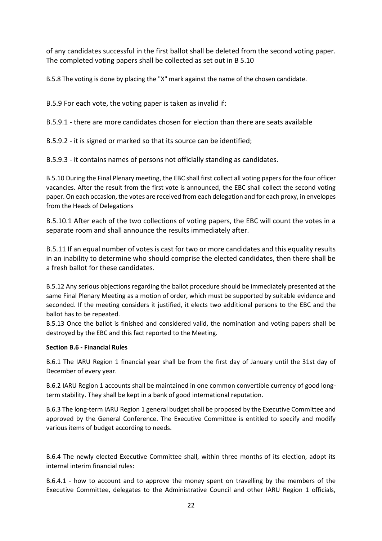of any candidates successful in the first ballot shall be deleted from the second voting paper. The completed voting papers shall be collected as set out in B 5.10

B.5.8 The voting is done by placing the "X" mark against the name of the chosen candidate.

B.5.9 For each vote, the voting paper is taken as invalid if:

B.5.9.1 - there are more candidates chosen for election than there are seats available

B.5.9.2 - it is signed or marked so that its source can be identified;

B.5.9.3 - it contains names of persons not officially standing as candidates.

B.5.10 During the Final Plenary meeting, the EBC shall first collect all voting papers for the four officer vacancies. After the result from the first vote is announced, the EBC shall collect the second voting paper. On each occasion, the votes are received from each delegation and for each proxy, in envelopes from the Heads of Delegations

B.5.10.1 After each of the two collections of voting papers, the EBC will count the votes in a separate room and shall announce the results immediately after.

B.5.11 If an equal number of votes is cast for two or more candidates and this equality results in an inability to determine who should comprise the elected candidates, then there shall be a fresh ballot for these candidates.

B.5.12 Any serious objections regarding the ballot procedure should be immediately presented at the same Final Plenary Meeting as a motion of order, which must be supported by suitable evidence and seconded. If the meeting considers it justified, it elects two additional persons to the EBC and the ballot has to be repeated.

B.5.13 Once the ballot is finished and considered valid, the nomination and voting papers shall be destroyed by the EBC and this fact reported to the Meeting.

# **Section B.6 - Financial Rules**

B.6.1 The IARU Region 1 financial year shall be from the first day of January until the 31st day of December of every year.

B.6.2 IARU Region 1 accounts shall be maintained in one common convertible currency of good longterm stability. They shall be kept in a bank of good international reputation.

B.6.3 The long-term IARU Region 1 general budget shall be proposed by the Executive Committee and approved by the General Conference. The Executive Committee is entitled to specify and modify various items of budget according to needs.

B.6.4 The newly elected Executive Committee shall, within three months of its election, adopt its internal interim financial rules:

B.6.4.1 - how to account and to approve the money spent on travelling by the members of the Executive Committee, delegates to the Administrative Council and other IARU Region 1 officials,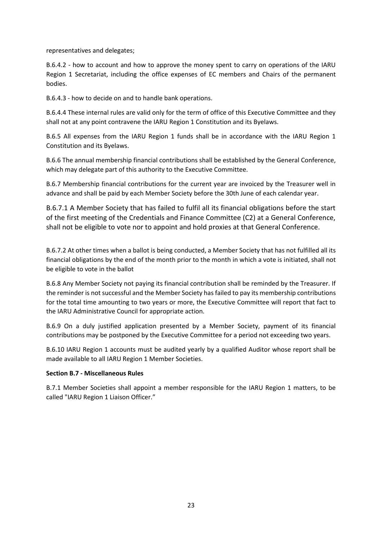representatives and delegates;

B.6.4.2 - how to account and how to approve the money spent to carry on operations of the IARU Region 1 Secretariat, including the office expenses of EC members and Chairs of the permanent bodies.

B.6.4.3 - how to decide on and to handle bank operations.

B.6.4.4 These internal rules are valid only for the term of office of this Executive Committee and they shall not at any point contravene the IARU Region 1 Constitution and its Byelaws.

B.6.5 All expenses from the IARU Region 1 funds shall be in accordance with the IARU Region 1 Constitution and its Byelaws.

B.6.6 The annual membership financial contributions shall be established by the General Conference, which may delegate part of this authority to the Executive Committee.

B.6.7 Membership financial contributions for the current year are invoiced by the Treasurer well in advance and shall be paid by each Member Society before the 30th June of each calendar year.

B.6.7.1 A Member Society that has failed to fulfil all its financial obligations before the start of the first meeting of the Credentials and Finance Committee (C2) at a General Conference, shall not be eligible to vote nor to appoint and hold proxies at that General Conference.

B.6.7.2 At other times when a ballot is being conducted, a Member Society that has not fulfilled all its financial obligations by the end of the month prior to the month in which a vote is initiated, shall not be eligible to vote in the ballot

B.6.8 Any Member Society not paying its financial contribution shall be reminded by the Treasurer. If the reminder is not successful and the Member Society has failed to pay its membership contributions for the total time amounting to two years or more, the Executive Committee will report that fact to the IARU Administrative Council for appropriate action.

B.6.9 On a duly justified application presented by a Member Society, payment of its financial contributions may be postponed by the Executive Committee for a period not exceeding two years.

B.6.10 IARU Region 1 accounts must be audited yearly by a qualified Auditor whose report shall be made available to all IARU Region 1 Member Societies.

### **Section B.7 - Miscellaneous Rules**

B.7.1 Member Societies shall appoint a member responsible for the IARU Region 1 matters, to be called "IARU Region 1 Liaison Officer."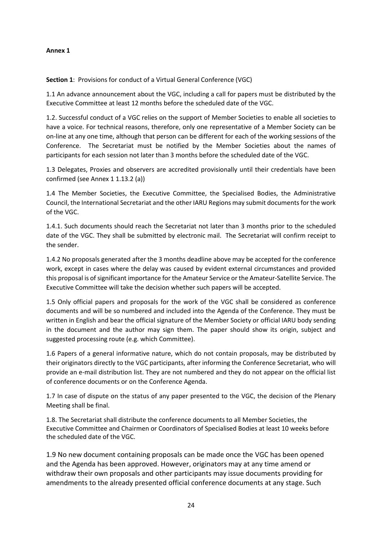# **Annex 1**

**Section 1**: Provisions for conduct of a Virtual General Conference (VGC)

1.1 An advance announcement about the VGC, including a call for papers must be distributed by the Executive Committee at least 12 months before the scheduled date of the VGC.

1.2. Successful conduct of a VGC relies on the support of Member Societies to enable all societies to have a voice. For technical reasons, therefore, only one representative of a Member Society can be on-line at any one time, although that person can be different for each of the working sessions of the Conference. The Secretariat must be notified by the Member Societies about the names of participants for each session not later than 3 months before the scheduled date of the VGC.

1.3 Delegates, Proxies and observers are accredited provisionally until their credentials have been confirmed (see Annex 1 1.13.2 (a))

1.4 The Member Societies, the Executive Committee, the Specialised Bodies, the Administrative Council, the International Secretariat and the other IARU Regions may submit documents for the work of the VGC.

1.4.1. Such documents should reach the Secretariat not later than 3 months prior to the scheduled date of the VGC. They shall be submitted by electronic mail. The Secretariat will confirm receipt to the sender.

1.4.2 No proposals generated after the 3 months deadline above may be accepted for the conference work, except in cases where the delay was caused by evident external circumstances and provided this proposal is of significant importance for the Amateur Service or the Amateur-Satellite Service. The Executive Committee will take the decision whether such papers will be accepted.

1.5 Only official papers and proposals for the work of the VGC shall be considered as conference documents and will be so numbered and included into the Agenda of the Conference. They must be written in English and bear the official signature of the Member Society or official IARU body sending in the document and the author may sign them. The paper should show its origin, subject and suggested processing route (e.g. which Committee).

1.6 Papers of a general informative nature, which do not contain proposals, may be distributed by their originators directly to the VGC participants, after informing the Conference Secretariat, who will provide an e-mail distribution list. They are not numbered and they do not appear on the official list of conference documents or on the Conference Agenda.

1.7 In case of dispute on the status of any paper presented to the VGC, the decision of the Plenary Meeting shall be final.

1.8. The Secretariat shall distribute the conference documents to all Member Societies, the Executive Committee and Chairmen or Coordinators of Specialised Bodies at least 10 weeks before the scheduled date of the VGC.

1.9 No new document containing proposals can be made once the VGC has been opened and the Agenda has been approved. However, originators may at any time amend or withdraw their own proposals and other participants may issue documents providing for amendments to the already presented official conference documents at any stage. Such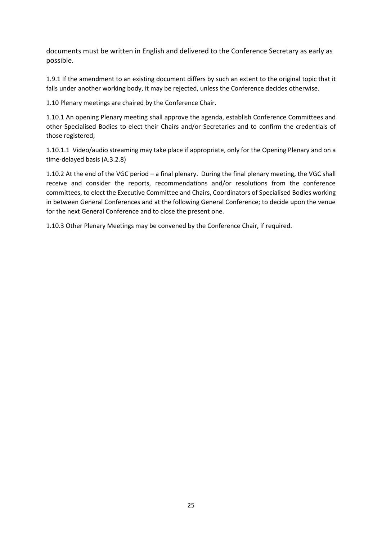documents must be written in English and delivered to the Conference Secretary as early as possible.

1.9.1 If the amendment to an existing document differs by such an extent to the original topic that it falls under another working body, it may be rejected, unless the Conference decides otherwise.

1.10 Plenary meetings are chaired by the Conference Chair.

1.10.1 An opening Plenary meeting shall approve the agenda, establish Conference Committees and other Specialised Bodies to elect their Chairs and/or Secretaries and to confirm the credentials of those registered;

1.10.1.1 Video/audio streaming may take place if appropriate, only for the Opening Plenary and on a time-delayed basis (A.3.2.8)

1.10.2 At the end of the VGC period – a final plenary. During the final plenary meeting, the VGC shall receive and consider the reports, recommendations and/or resolutions from the conference committees, to elect the Executive Committee and Chairs, Coordinators of Specialised Bodies working in between General Conferences and at the following General Conference; to decide upon the venue for the next General Conference and to close the present one.

1.10.3 Other Plenary Meetings may be convened by the Conference Chair, if required.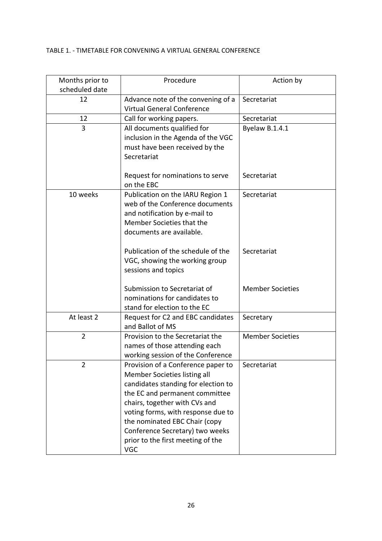# TABLE 1. - TIMETABLE FOR CONVENING A VIRTUAL GENERAL CONFERENCE

| Months prior to<br>scheduled date | Procedure                                      | Action by               |
|-----------------------------------|------------------------------------------------|-------------------------|
| 12                                | Advance note of the convening of a             | Secretariat             |
|                                   | <b>Virtual General Conference</b>              |                         |
| 12                                | Call for working papers.                       | Secretariat             |
| 3                                 | All documents qualified for                    | Byelaw B.1.4.1          |
|                                   | inclusion in the Agenda of the VGC             |                         |
|                                   | must have been received by the                 |                         |
|                                   | Secretariat                                    |                         |
|                                   | Request for nominations to serve<br>on the EBC | Secretariat             |
| 10 weeks                          | Publication on the IARU Region 1               | Secretariat             |
|                                   | web of the Conference documents                |                         |
|                                   | and notification by e-mail to                  |                         |
|                                   | Member Societies that the                      |                         |
|                                   | documents are available.                       |                         |
|                                   |                                                |                         |
|                                   | Publication of the schedule of the             | Secretariat             |
|                                   | VGC, showing the working group                 |                         |
|                                   | sessions and topics                            |                         |
|                                   |                                                |                         |
|                                   | Submission to Secretariat of                   | <b>Member Societies</b> |
|                                   | nominations for candidates to                  |                         |
|                                   | stand for election to the EC                   |                         |
| At least 2                        | Request for C2 and EBC candidates              | Secretary               |
|                                   | and Ballot of MS                               |                         |
| $\overline{2}$                    | Provision to the Secretariat the               | <b>Member Societies</b> |
|                                   | names of those attending each                  |                         |
|                                   | working session of the Conference              |                         |
| 2                                 | Provision of a Conference paper to             | Secretariat             |
|                                   | Member Societies listing all                   |                         |
|                                   | candidates standing for election to            |                         |
|                                   | the EC and permanent committee                 |                         |
|                                   | chairs, together with CVs and                  |                         |
|                                   | voting forms, with response due to             |                         |
|                                   | the nominated EBC Chair (copy                  |                         |
|                                   | Conference Secretary) two weeks                |                         |
|                                   | prior to the first meeting of the              |                         |
|                                   | <b>VGC</b>                                     |                         |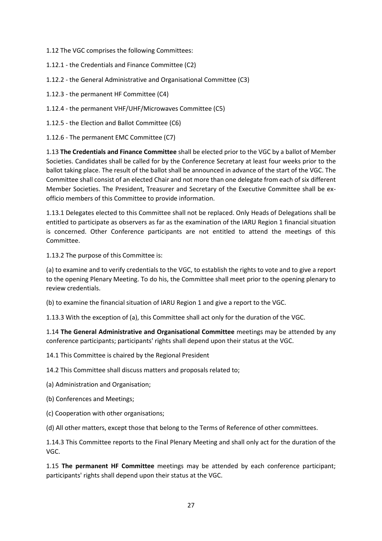1.12 The VGC comprises the following Committees:

- 1.12.1 the Credentials and Finance Committee (C2)
- 1.12.2 the General Administrative and Organisational Committee (C3)
- 1.12.3 the permanent HF Committee (C4)
- 1.12.4 the permanent VHF/UHF/Microwaves Committee (C5)
- 1.12.5 the Election and Ballot Committee (C6)

1.12.6 - The permanent EMC Committee (C7)

1.13 **The Credentials and Finance Committee** shall be elected prior to the VGC by a ballot of Member Societies. Candidates shall be called for by the Conference Secretary at least four weeks prior to the ballot taking place. The result of the ballot shall be announced in advance of the start of the VGC. The Committee shall consist of an elected Chair and not more than one delegate from each of six different Member Societies. The President, Treasurer and Secretary of the Executive Committee shall be exofficio members of this Committee to provide information.

1.13.1 Delegates elected to this Committee shall not be replaced. Only Heads of Delegations shall be entitled to participate as observers as far as the examination of the IARU Region 1 financial situation is concerned. Other Conference participants are not entitled to attend the meetings of this Committee.

1.13.2 The purpose of this Committee is:

(a) to examine and to verify credentials to the VGC, to establish the rights to vote and to give a report to the opening Plenary Meeting. To do his, the Committee shall meet prior to the opening plenary to review credentials.

(b) to examine the financial situation of IARU Region 1 and give a report to the VGC.

1.13.3 With the exception of (a), this Committee shall act only for the duration of the VGC.

1.14 **The General Administrative and Organisational Committee** meetings may be attended by any conference participants; participants' rights shall depend upon their status at the VGC.

14.1 This Committee is chaired by the Regional President

14.2 This Committee shall discuss matters and proposals related to;

(a) Administration and Organisation;

- (b) Conferences and Meetings;
- (c) Cooperation with other organisations;

(d) All other matters, except those that belong to the Terms of Reference of other committees.

1.14.3 This Committee reports to the Final Plenary Meeting and shall only act for the duration of the VGC.

1.15 **The permanent HF Committee** meetings may be attended by each conference participant; participants' rights shall depend upon their status at the VGC.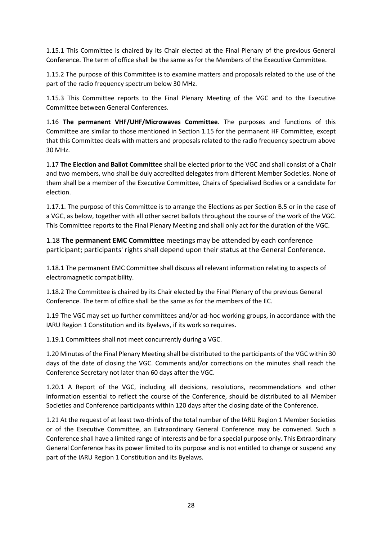1.15.1 This Committee is chaired by its Chair elected at the Final Plenary of the previous General Conference. The term of office shall be the same as for the Members of the Executive Committee.

1.15.2 The purpose of this Committee is to examine matters and proposals related to the use of the part of the radio frequency spectrum below 30 MHz.

1.15.3 This Committee reports to the Final Plenary Meeting of the VGC and to the Executive Committee between General Conferences.

1.16 **The permanent VHF/UHF/Microwaves Committee**. The purposes and functions of this Committee are similar to those mentioned in Section 1.15 for the permanent HF Committee, except that this Committee deals with matters and proposals related to the radio frequency spectrum above 30 MHz.

1.17 **The Election and Ballot Committee** shall be elected prior to the VGC and shall consist of a Chair and two members, who shall be duly accredited delegates from different Member Societies. None of them shall be a member of the Executive Committee, Chairs of Specialised Bodies or a candidate for election.

1.17.1. The purpose of this Committee is to arrange the Elections as per Section B.5 or in the case of a VGC, as below, together with all other secret ballots throughout the course of the work of the VGC. This Committee reports to the Final Plenary Meeting and shall only act for the duration of the VGC.

1.18 **The permanent EMC Committee** meetings may be attended by each conference participant; participants' rights shall depend upon their status at the General Conference.

1.18.1 The permanent EMC Committee shall discuss all relevant information relating to aspects of electromagnetic compatibility.

1.18.2 The Committee is chaired by its Chair elected by the Final Plenary of the previous General Conference. The term of office shall be the same as for the members of the EC.

1.19 The VGC may set up further committees and/or ad-hoc working groups, in accordance with the IARU Region 1 Constitution and its Byelaws, if its work so requires.

1.19.1 Committees shall not meet concurrently during a VGC.

1.20 Minutes of the Final Plenary Meeting shall be distributed to the participants of the VGC within 30 days of the date of closing the VGC. Comments and/or corrections on the minutes shall reach the Conference Secretary not later than 60 days after the VGC.

1.20.1 A Report of the VGC, including all decisions, resolutions, recommendations and other information essential to reflect the course of the Conference, should be distributed to all Member Societies and Conference participants within 120 days after the closing date of the Conference.

1.21 At the request of at least two-thirds of the total number of the IARU Region 1 Member Societies or of the Executive Committee, an Extraordinary General Conference may be convened. Such a Conference shall have a limited range of interests and be for a special purpose only. This Extraordinary General Conference has its power limited to its purpose and is not entitled to change or suspend any part of the IARU Region 1 Constitution and its Byelaws.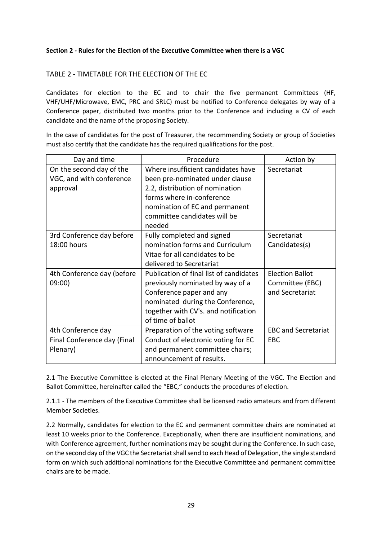# **Section 2 - Rules for the Election of the Executive Committee when there is a VGC**

# TABLE 2 - TIMETABLE FOR THE ELECTION OF THE EC

Candidates for election to the EC and to chair the five permanent Committees (HF, VHF/UHF/Microwave, EMC, PRC and SRLC) must be notified to Conference delegates by way of a Conference paper, distributed two months prior to the Conference and including a CV of each candidate and the name of the proposing Society.

In the case of candidates for the post of Treasurer, the recommending Society or group of Societies must also certify that the candidate has the required qualifications for the post.

| Day and time                | Procedure                               | Action by                  |
|-----------------------------|-----------------------------------------|----------------------------|
| On the second day of the    | Where insufficient candidates have      | Secretariat                |
| VGC, and with conference    | been pre-nominated under clause         |                            |
| approval                    | 2.2, distribution of nomination         |                            |
|                             | forms where in-conference               |                            |
|                             | nomination of EC and permanent          |                            |
|                             | committee candidates will be            |                            |
|                             | needed                                  |                            |
| 3rd Conference day before   | Fully completed and signed              | Secretariat                |
| 18:00 hours                 | nomination forms and Curriculum         | Candidates(s)              |
|                             | Vitae for all candidates to be          |                            |
|                             | delivered to Secretariat                |                            |
| 4th Conference day (before  | Publication of final list of candidates | <b>Election Ballot</b>     |
| 09:00                       | previously nominated by way of a        | Committee (EBC)            |
|                             | Conference paper and any                | and Secretariat            |
|                             | nominated during the Conference,        |                            |
|                             | together with CV's. and notification    |                            |
|                             | of time of ballot                       |                            |
| 4th Conference day          | Preparation of the voting software      | <b>EBC and Secretariat</b> |
| Final Conference day (Final | Conduct of electronic voting for EC     | <b>EBC</b>                 |
| Plenary)                    | and permanent committee chairs;         |                            |
|                             | announcement of results.                |                            |

2.1 The Executive Committee is elected at the Final Plenary Meeting of the VGC. The Election and Ballot Committee, hereinafter called the "EBC," conducts the procedures of election.

2.1.1 - The members of the Executive Committee shall be licensed radio amateurs and from different Member Societies.

2.2 Normally, candidates for election to the EC and permanent committee chairs are nominated at least 10 weeks prior to the Conference. Exceptionally, when there are insufficient nominations, and with Conference agreement, further nominations may be sought during the Conference. In such case, on the second day of the VGC the Secretariat shall send to each Head of Delegation, the single standard form on which such additional nominations for the Executive Committee and permanent committee chairs are to be made.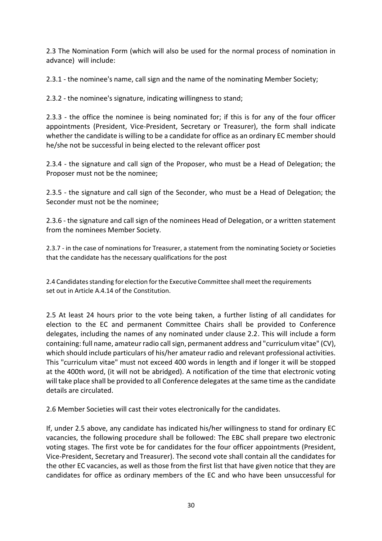2.3 The Nomination Form (which will also be used for the normal process of nomination in advance) will include:

2.3.1 - the nominee's name, call sign and the name of the nominating Member Society;

2.3.2 - the nominee's signature, indicating willingness to stand;

2.3.3 - the office the nominee is being nominated for; if this is for any of the four officer appointments (President, Vice-President, Secretary or Treasurer), the form shall indicate whether the candidate is willing to be a candidate for office as an ordinary EC member should he/she not be successful in being elected to the relevant officer post

2.3.4 - the signature and call sign of the Proposer, who must be a Head of Delegation; the Proposer must not be the nominee;

2.3.5 - the signature and call sign of the Seconder, who must be a Head of Delegation; the Seconder must not be the nominee;

2.3.6 - the signature and call sign of the nominees Head of Delegation, or a written statement from the nominees Member Society.

2.3.7 - in the case of nominations for Treasurer, a statement from the nominating Society or Societies that the candidate has the necessary qualifications for the post

2.4 Candidates standing for election for the Executive Committee shall meet the requirements set out in Article A.4.14 of the Constitution.

2.5 At least 24 hours prior to the vote being taken, a further listing of all candidates for election to the EC and permanent Committee Chairs shall be provided to Conference delegates, including the names of any nominated under clause 2.2. This will include a form containing: full name, amateur radio call sign, permanent address and "curriculum vitae" (CV), which should include particulars of his/her amateur radio and relevant professional activities. This "curriculum vitae" must not exceed 400 words in length and if longer it will be stopped at the 400th word, (it will not be abridged). A notification of the time that electronic voting will take place shall be provided to all Conference delegates at the same time as the candidate details are circulated.

2.6 Member Societies will cast their votes electronically for the candidates.

If, under 2.5 above, any candidate has indicated his/her willingness to stand for ordinary EC vacancies, the following procedure shall be followed: The EBC shall prepare two electronic voting stages. The first vote be for candidates for the four officer appointments (President, Vice-President, Secretary and Treasurer). The second vote shall contain all the candidates for the other EC vacancies, as well as those from the first list that have given notice that they are candidates for office as ordinary members of the EC and who have been unsuccessful for